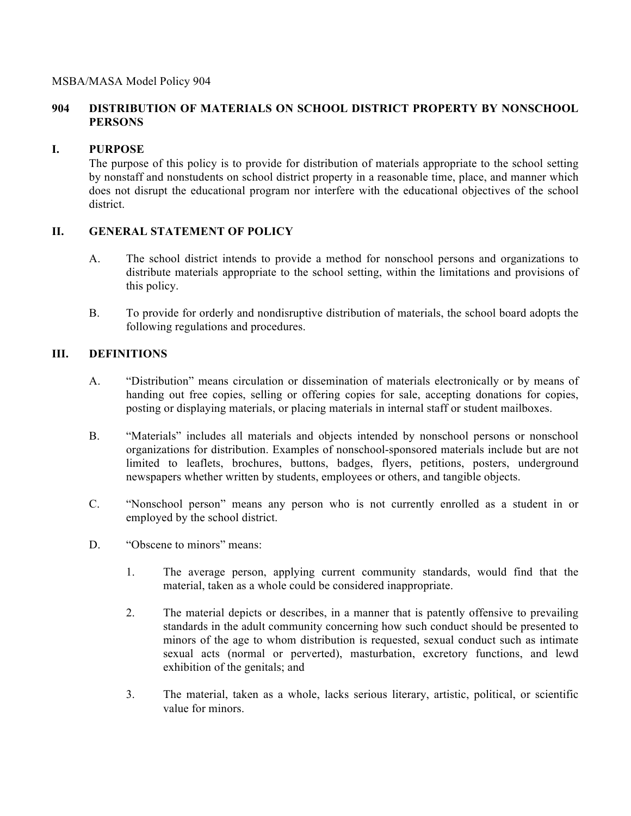## **904 DISTRIBUTION OF MATERIALS ON SCHOOL DISTRICT PROPERTY BY NONSCHOOL PERSONS**

# **I. PURPOSE**

The purpose of this policy is to provide for distribution of materials appropriate to the school setting by nonstaff and nonstudents on school district property in a reasonable time, place, and manner which does not disrupt the educational program nor interfere with the educational objectives of the school district.

# **II. GENERAL STATEMENT OF POLICY**

- A. The school district intends to provide a method for nonschool persons and organizations to distribute materials appropriate to the school setting, within the limitations and provisions of this policy.
- B. To provide for orderly and nondisruptive distribution of materials, the school board adopts the following regulations and procedures.

# **III. DEFINITIONS**

- A. "Distribution" means circulation or dissemination of materials electronically or by means of handing out free copies, selling or offering copies for sale, accepting donations for copies, posting or displaying materials, or placing materials in internal staff or student mailboxes.
- B. "Materials" includes all materials and objects intended by nonschool persons or nonschool organizations for distribution. Examples of nonschool-sponsored materials include but are not limited to leaflets, brochures, buttons, badges, flyers, petitions, posters, underground newspapers whether written by students, employees or others, and tangible objects.
- C. "Nonschool person" means any person who is not currently enrolled as a student in or employed by the school district.
- D. "Obscene to minors" means:
	- 1. The average person, applying current community standards, would find that the material, taken as a whole could be considered inappropriate.
	- 2. The material depicts or describes, in a manner that is patently offensive to prevailing standards in the adult community concerning how such conduct should be presented to minors of the age to whom distribution is requested, sexual conduct such as intimate sexual acts (normal or perverted), masturbation, excretory functions, and lewd exhibition of the genitals; and
	- 3. The material, taken as a whole, lacks serious literary, artistic, political, or scientific value for minors.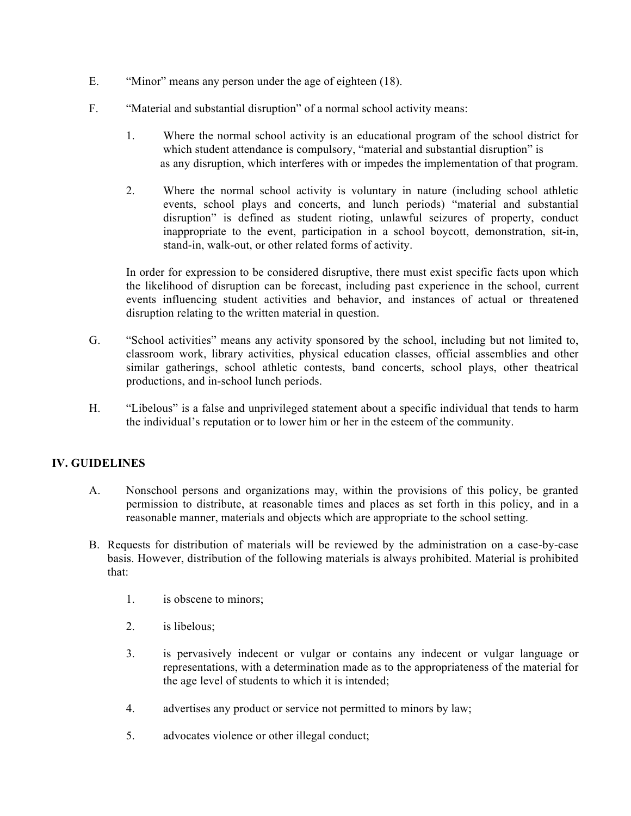- E. "Minor" means any person under the age of eighteen (18).
- F. "Material and substantial disruption" of a normal school activity means:
	- 1. Where the normal school activity is an educational program of the school district for which student attendance is compulsory, "material and substantial disruption" is as any disruption, which interferes with or impedes the implementation of that program.
	- 2. Where the normal school activity is voluntary in nature (including school athletic events, school plays and concerts, and lunch periods) "material and substantial disruption" is defined as student rioting, unlawful seizures of property, conduct inappropriate to the event, participation in a school boycott, demonstration, sit-in, stand-in, walk-out, or other related forms of activity.

In order for expression to be considered disruptive, there must exist specific facts upon which the likelihood of disruption can be forecast, including past experience in the school, current events influencing student activities and behavior, and instances of actual or threatened disruption relating to the written material in question.

- G. "School activities" means any activity sponsored by the school, including but not limited to, classroom work, library activities, physical education classes, official assemblies and other similar gatherings, school athletic contests, band concerts, school plays, other theatrical productions, and in-school lunch periods.
- H. "Libelous" is a false and unprivileged statement about a specific individual that tends to harm the individual's reputation or to lower him or her in the esteem of the community.

### **IV. GUIDELINES**

- A. Nonschool persons and organizations may, within the provisions of this policy, be granted permission to distribute, at reasonable times and places as set forth in this policy, and in a reasonable manner, materials and objects which are appropriate to the school setting.
- B. Requests for distribution of materials will be reviewed by the administration on a case-by-case basis. However, distribution of the following materials is always prohibited. Material is prohibited that:
	- 1. is obscene to minors;
	- 2. is libelous;
	- 3. is pervasively indecent or vulgar or contains any indecent or vulgar language or representations, with a determination made as to the appropriateness of the material for the age level of students to which it is intended;
	- 4. advertises any product or service not permitted to minors by law;
	- 5. advocates violence or other illegal conduct;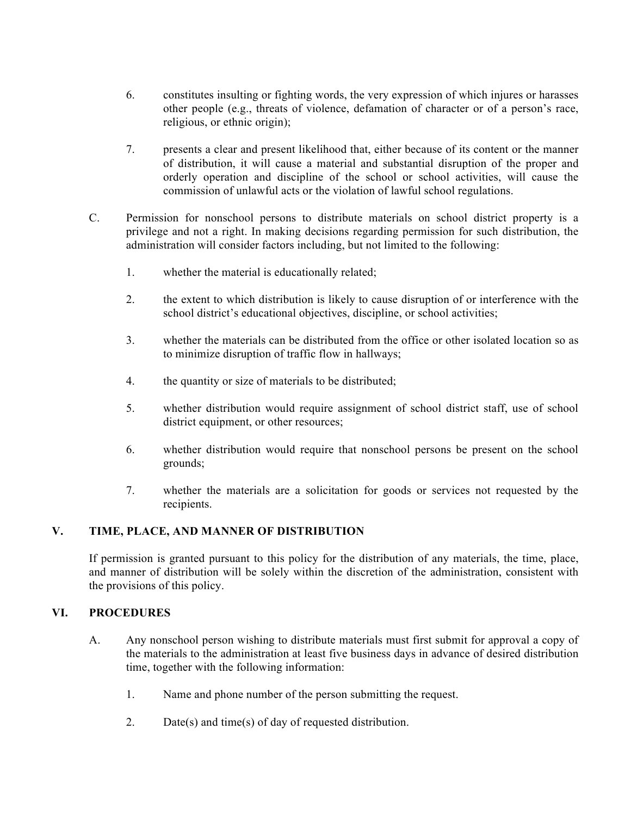- 6. constitutes insulting or fighting words, the very expression of which injures or harasses other people (e.g., threats of violence, defamation of character or of a person's race, religious, or ethnic origin);
- 7. presents a clear and present likelihood that, either because of its content or the manner of distribution, it will cause a material and substantial disruption of the proper and orderly operation and discipline of the school or school activities, will cause the commission of unlawful acts or the violation of lawful school regulations.
- C. Permission for nonschool persons to distribute materials on school district property is a privilege and not a right. In making decisions regarding permission for such distribution, the administration will consider factors including, but not limited to the following:
	- 1. whether the material is educationally related;
	- 2. the extent to which distribution is likely to cause disruption of or interference with the school district's educational objectives, discipline, or school activities;
	- 3. whether the materials can be distributed from the office or other isolated location so as to minimize disruption of traffic flow in hallways;
	- 4. the quantity or size of materials to be distributed;
	- 5. whether distribution would require assignment of school district staff, use of school district equipment, or other resources;
	- 6. whether distribution would require that nonschool persons be present on the school grounds;
	- 7. whether the materials are a solicitation for goods or services not requested by the recipients.

### **V. TIME, PLACE, AND MANNER OF DISTRIBUTION**

If permission is granted pursuant to this policy for the distribution of any materials, the time, place, and manner of distribution will be solely within the discretion of the administration, consistent with the provisions of this policy.

### **VI. PROCEDURES**

- A. Any nonschool person wishing to distribute materials must first submit for approval a copy of the materials to the administration at least five business days in advance of desired distribution time, together with the following information:
	- 1. Name and phone number of the person submitting the request.
	- 2. Date(s) and time(s) of day of requested distribution.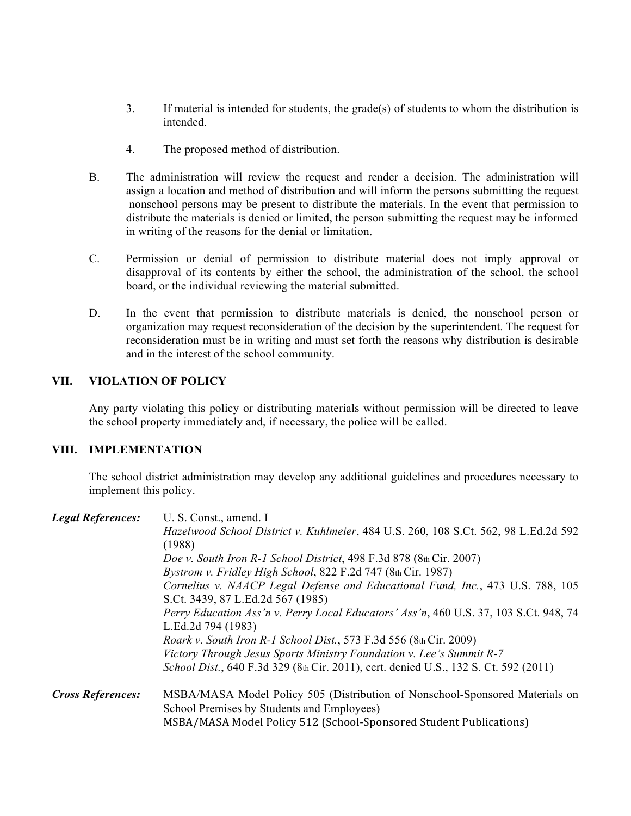- 3. If material is intended for students, the grade(s) of students to whom the distribution is intended.
- 4. The proposed method of distribution.
- B. The administration will review the request and render a decision. The administration will assign a location and method of distribution and will inform the persons submitting the request nonschool persons may be present to distribute the materials. In the event that permission to distribute the materials is denied or limited, the person submitting the request may be informed in writing of the reasons for the denial or limitation.
- C. Permission or denial of permission to distribute material does not imply approval or disapproval of its contents by either the school, the administration of the school, the school board, or the individual reviewing the material submitted.
- D. In the event that permission to distribute materials is denied, the nonschool person or organization may request reconsideration of the decision by the superintendent. The request for reconsideration must be in writing and must set forth the reasons why distribution is desirable and in the interest of the school community.

### **VII. VIOLATION OF POLICY**

Any party violating this policy or distributing materials without permission will be directed to leave the school property immediately and, if necessary, the police will be called.

### **VIII. IMPLEMENTATION**

The school district administration may develop any additional guidelines and procedures necessary to implement this policy.

| <b>Legal References:</b> | U. S. Const., amend. I                                                                |  |
|--------------------------|---------------------------------------------------------------------------------------|--|
|                          | Hazelwood School District v. Kuhlmeier, 484 U.S. 260, 108 S.Ct. 562, 98 L.Ed.2d 592   |  |
|                          | (1988)                                                                                |  |
|                          | Doe v. South Iron R-1 School District, 498 F.3d 878 (8th Cir. 2007)                   |  |
|                          | Bystrom v. Fridley High School, 822 F.2d 747 (8th Cir. 1987)                          |  |
|                          | Cornelius v. NAACP Legal Defense and Educational Fund, Inc., 473 U.S. 788, 105        |  |
|                          | S.Ct. 3439, 87 L.Ed.2d 567 (1985)                                                     |  |
|                          | Perry Education Ass'n v. Perry Local Educators' Ass'n, 460 U.S. 37, 103 S.Ct. 948, 74 |  |
|                          | L.Ed.2d 794 (1983)                                                                    |  |
|                          | <i>Roark v. South Iron R-1 School Dist.</i> , 573 F.3d 556 (8th Cir. 2009)            |  |
|                          | Victory Through Jesus Sports Ministry Foundation v. Lee's Summit R-7                  |  |
|                          | School Dist., 640 F.3d 329 (8th Cir. 2011), cert. denied U.S., 132 S. Ct. 592 (2011)  |  |
| <b>Cross References:</b> | MSBA/MASA Model Policy 505 (Distribution of Nonschool-Sponsored Materials on          |  |
|                          | School Premises by Students and Employees)                                            |  |
|                          | MSBA/MASA Model Policy 512 (School-Sponsored Student Publications)                    |  |